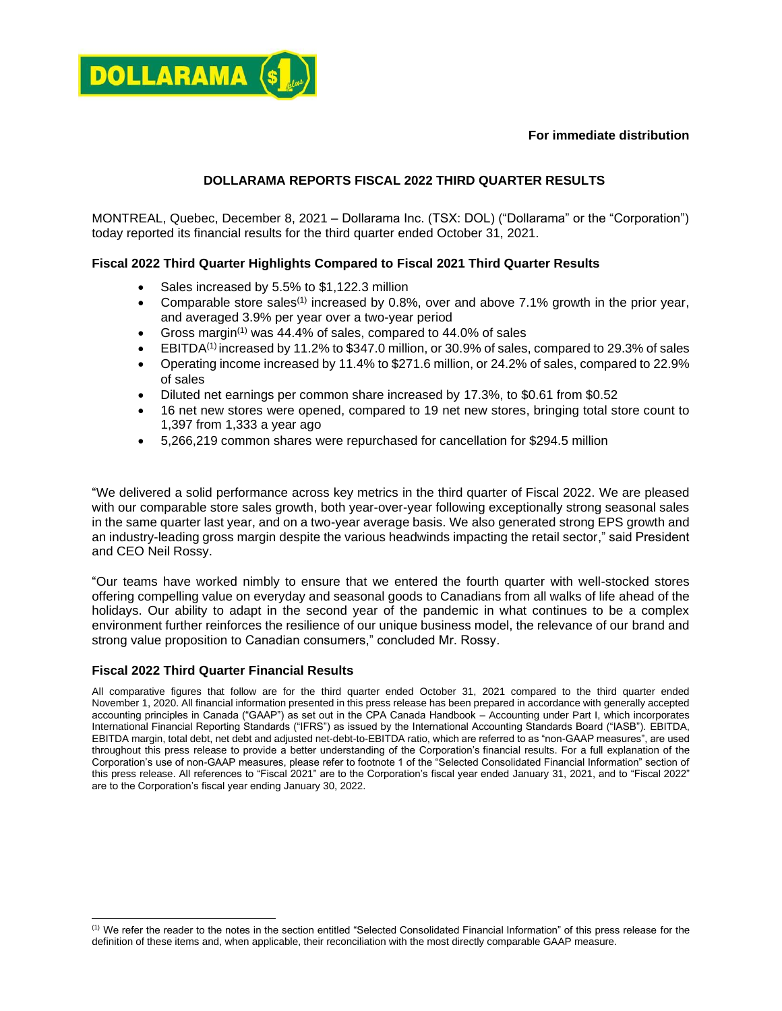#### **For immediate distribution**



# **DOLLARAMA REPORTS FISCAL 2022 THIRD QUARTER RESULTS**

MONTREAL, Quebec, December 8, 2021 – Dollarama Inc. (TSX: DOL) ("Dollarama" or the "Corporation") today reported its financial results for the third quarter ended October 31, 2021.

# **Fiscal 2022 Third Quarter Highlights Compared to Fiscal 2021 Third Quarter Results**

- Sales increased by 5.5% to \$1,122.3 million
- Comparable store sales<sup>(1)</sup> increased by 0.8%, over and above 7.1% growth in the prior year, and averaged 3.9% per year over a two-year period
- Gross margin<sup>(1)</sup> was 44.4% of sales, compared to 44.0% of sales
- $\bullet$  EBITDA<sup>(1)</sup> increased by 11.2% to \$347.0 million, or 30.9% of sales, compared to 29.3% of sales
- Operating income increased by 11.4% to \$271.6 million, or 24.2% of sales, compared to 22.9% of sales
- Diluted net earnings per common share increased by 17.3%, to \$0.61 from \$0.52
- 16 net new stores were opened, compared to 19 net new stores, bringing total store count to 1,397 from 1,333 a year ago
- 5,266,219 common shares were repurchased for cancellation for \$294.5 million

"We delivered a solid performance across key metrics in the third quarter of Fiscal 2022. We are pleased with our comparable store sales growth, both year-over-year following exceptionally strong seasonal sales in the same quarter last year, and on a two-year average basis. We also generated strong EPS growth and an industry-leading gross margin despite the various headwinds impacting the retail sector," said President and CEO Neil Rossy.

"Our teams have worked nimbly to ensure that we entered the fourth quarter with well-stocked stores offering compelling value on everyday and seasonal goods to Canadians from all walks of life ahead of the holidays. Our ability to adapt in the second year of the pandemic in what continues to be a complex environment further reinforces the resilience of our unique business model, the relevance of our brand and strong value proposition to Canadian consumers," concluded Mr. Rossy.

# **Fiscal 2022 Third Quarter Financial Results**

All comparative figures that follow are for the third quarter ended October 31, 2021 compared to the third quarter ended November 1, 2020. All financial information presented in this press release has been prepared in accordance with generally accepted accounting principles in Canada ("GAAP") as set out in the CPA Canada Handbook – Accounting under Part I, which incorporates International Financial Reporting Standards ("IFRS") as issued by the International Accounting Standards Board ("IASB"). EBITDA, EBITDA margin, total debt, net debt and adjusted net-debt-to-EBITDA ratio, which are referred to as "non-GAAP measures", are used throughout this press release to provide a better understanding of the Corporation's financial results. For a full explanation of the Corporation's use of non-GAAP measures, please refer to footnote 1 of the "Selected Consolidated Financial Information" section of this press release. All references to "Fiscal 2021" are to the Corporation's fiscal year ended January 31, 2021, and to "Fiscal 2022" are to the Corporation's fiscal year ending January 30, 2022.

<sup>(1)</sup> We refer the reader to the notes in the section entitled "Selected Consolidated Financial Information" of this press release for the definition of these items and, when applicable, their reconciliation with the most directly comparable GAAP measure.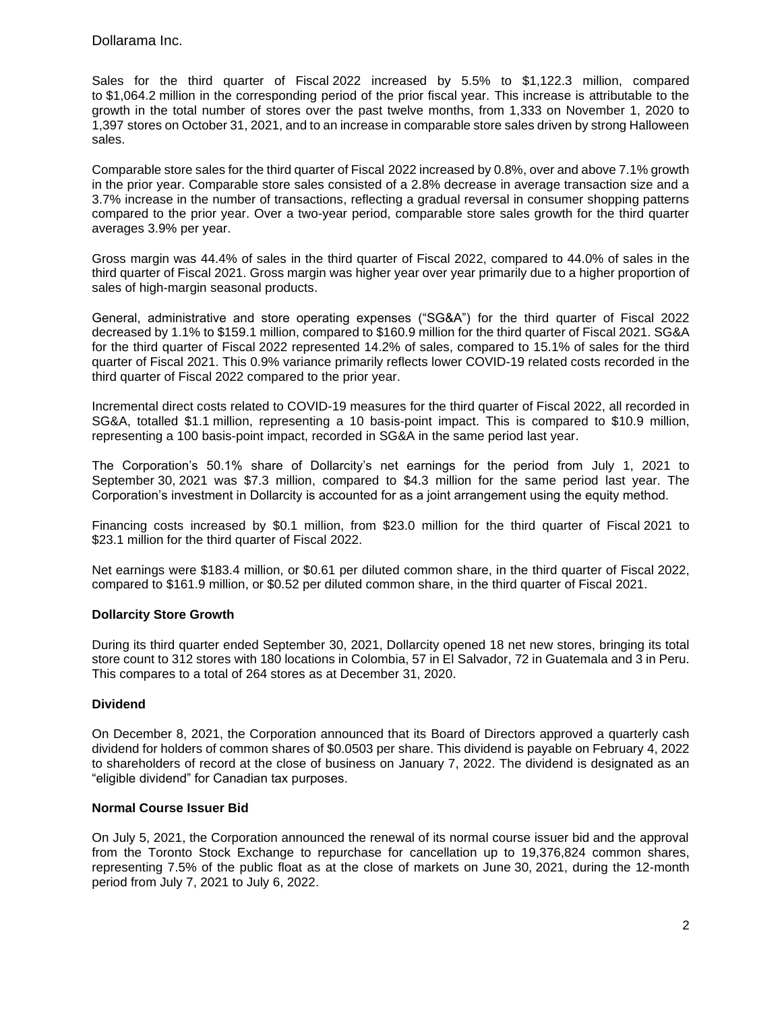Sales for the third quarter of Fiscal 2022 increased by 5.5% to \$1,122.3 million, compared to \$1,064.2 million in the corresponding period of the prior fiscal year. This increase is attributable to the growth in the total number of stores over the past twelve months, from 1,333 on November 1, 2020 to 1,397 stores on October 31, 2021, and to an increase in comparable store sales driven by strong Halloween sales.

Comparable store sales for the third quarter of Fiscal 2022 increased by 0.8%, over and above 7.1% growth in the prior year. Comparable store sales consisted of a 2.8% decrease in average transaction size and a 3.7% increase in the number of transactions, reflecting a gradual reversal in consumer shopping patterns compared to the prior year. Over a two-year period, comparable store sales growth for the third quarter averages 3.9% per year.

Gross margin was 44.4% of sales in the third quarter of Fiscal 2022, compared to 44.0% of sales in the third quarter of Fiscal 2021. Gross margin was higher year over year primarily due to a higher proportion of sales of high-margin seasonal products.

General, administrative and store operating expenses ("SG&A") for the third quarter of Fiscal 2022 decreased by 1.1% to \$159.1 million, compared to \$160.9 million for the third quarter of Fiscal 2021. SG&A for the third quarter of Fiscal 2022 represented 14.2% of sales, compared to 15.1% of sales for the third quarter of Fiscal 2021. This 0.9% variance primarily reflects lower COVID-19 related costs recorded in the third quarter of Fiscal 2022 compared to the prior year.

Incremental direct costs related to COVID-19 measures for the third quarter of Fiscal 2022, all recorded in SG&A, totalled \$1.1 million, representing a 10 basis-point impact. This is compared to \$10.9 million, representing a 100 basis-point impact, recorded in SG&A in the same period last year.

The Corporation's 50.1% share of Dollarcity's net earnings for the period from July 1, 2021 to September 30, 2021 was \$7.3 million, compared to \$4.3 million for the same period last year. The Corporation's investment in Dollarcity is accounted for as a joint arrangement using the equity method.

Financing costs increased by \$0.1 million, from \$23.0 million for the third quarter of Fiscal 2021 to \$23.1 million for the third quarter of Fiscal 2022.

Net earnings were \$183.4 million, or \$0.61 per diluted common share, in the third quarter of Fiscal 2022, compared to \$161.9 million, or \$0.52 per diluted common share, in the third quarter of Fiscal 2021.

#### **Dollarcity Store Growth**

During its third quarter ended September 30, 2021, Dollarcity opened 18 net new stores, bringing its total store count to 312 stores with 180 locations in Colombia, 57 in El Salvador, 72 in Guatemala and 3 in Peru. This compares to a total of 264 stores as at December 31, 2020.

#### **Dividend**

On December 8, 2021, the Corporation announced that its Board of Directors approved a quarterly cash dividend for holders of common shares of \$0.0503 per share. This dividend is payable on February 4, 2022 to shareholders of record at the close of business on January 7, 2022. The dividend is designated as an "eligible dividend" for Canadian tax purposes.

#### **Normal Course Issuer Bid**

On July 5, 2021, the Corporation announced the renewal of its normal course issuer bid and the approval from the Toronto Stock Exchange to repurchase for cancellation up to 19,376,824 common shares, representing 7.5% of the public float as at the close of markets on June 30, 2021, during the 12-month period from July 7, 2021 to July 6, 2022.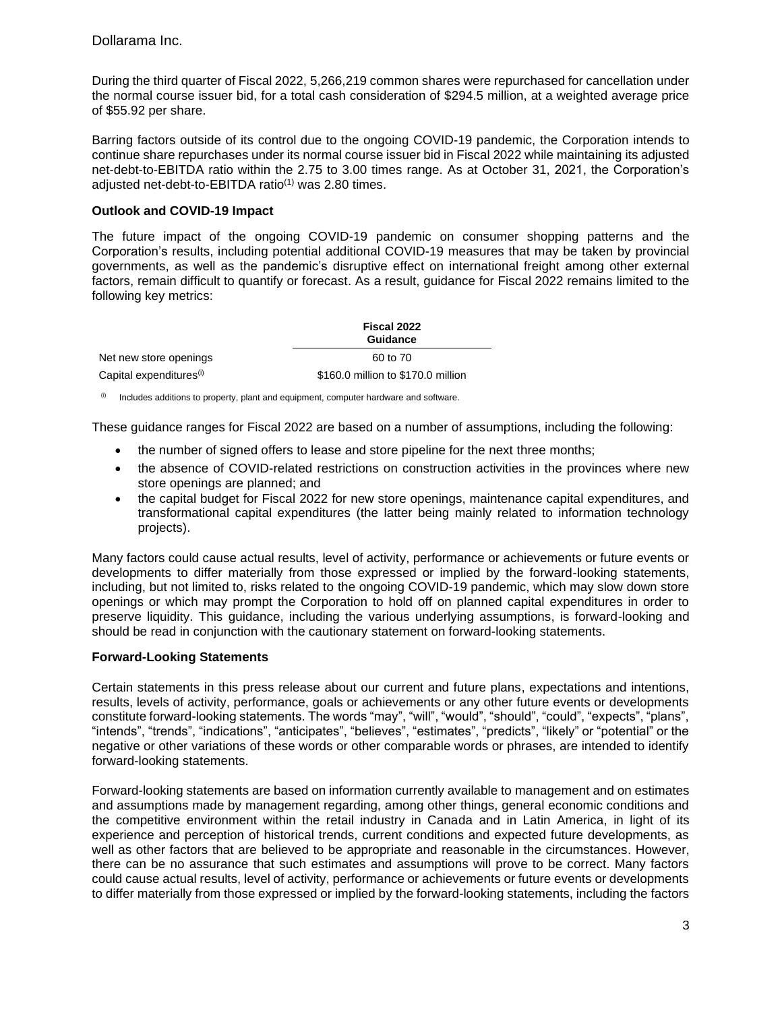During the third quarter of Fiscal 2022, 5,266,219 common shares were repurchased for cancellation under the normal course issuer bid, for a total cash consideration of \$294.5 million, at a weighted average price of \$55.92 per share.

Barring factors outside of its control due to the ongoing COVID-19 pandemic, the Corporation intends to continue share repurchases under its normal course issuer bid in Fiscal 2022 while maintaining its adjusted net-debt-to-EBITDA ratio within the 2.75 to 3.00 times range. As at October 31, 2021, the Corporation's adjusted net-debt-to-EBITDA ratio(1) was 2.80 times.

### **Outlook and COVID-19 Impact**

The future impact of the ongoing COVID-19 pandemic on consumer shopping patterns and the Corporation's results, including potential additional COVID-19 measures that may be taken by provincial governments, as well as the pandemic's disruptive effect on international freight among other external factors, remain difficult to quantify or forecast. As a result, guidance for Fiscal 2022 remains limited to the following key metrics:

|                                     | Fiscal 2022<br><b>Guidance</b>     |  |
|-------------------------------------|------------------------------------|--|
| Net new store openings              | 60 to 70                           |  |
| Capital expenditures <sup>(i)</sup> | \$160.0 million to \$170.0 million |  |

 $(0)$  Includes additions to property, plant and equipment, computer hardware and software.

These guidance ranges for Fiscal 2022 are based on a number of assumptions, including the following:

- the number of signed offers to lease and store pipeline for the next three months;
- the absence of COVID-related restrictions on construction activities in the provinces where new store openings are planned; and
- the capital budget for Fiscal 2022 for new store openings, maintenance capital expenditures, and transformational capital expenditures (the latter being mainly related to information technology projects).

Many factors could cause actual results, level of activity, performance or achievements or future events or developments to differ materially from those expressed or implied by the forward-looking statements, including, but not limited to, risks related to the ongoing COVID-19 pandemic, which may slow down store openings or which may prompt the Corporation to hold off on planned capital expenditures in order to preserve liquidity. This guidance, including the various underlying assumptions, is forward-looking and should be read in conjunction with the cautionary statement on forward-looking statements.

#### **Forward-Looking Statements**

Certain statements in this press release about our current and future plans, expectations and intentions, results, levels of activity, performance, goals or achievements or any other future events or developments constitute forward-looking statements. The words "may", "will", "would", "should", "could", "expects", "plans", "intends", "trends", "indications", "anticipates", "believes", "estimates", "predicts", "likely" or "potential" or the negative or other variations of these words or other comparable words or phrases, are intended to identify forward-looking statements.

Forward-looking statements are based on information currently available to management and on estimates and assumptions made by management regarding, among other things, general economic conditions and the competitive environment within the retail industry in Canada and in Latin America, in light of its experience and perception of historical trends, current conditions and expected future developments, as well as other factors that are believed to be appropriate and reasonable in the circumstances. However, there can be no assurance that such estimates and assumptions will prove to be correct. Many factors could cause actual results, level of activity, performance or achievements or future events or developments to differ materially from those expressed or implied by the forward-looking statements, including the factors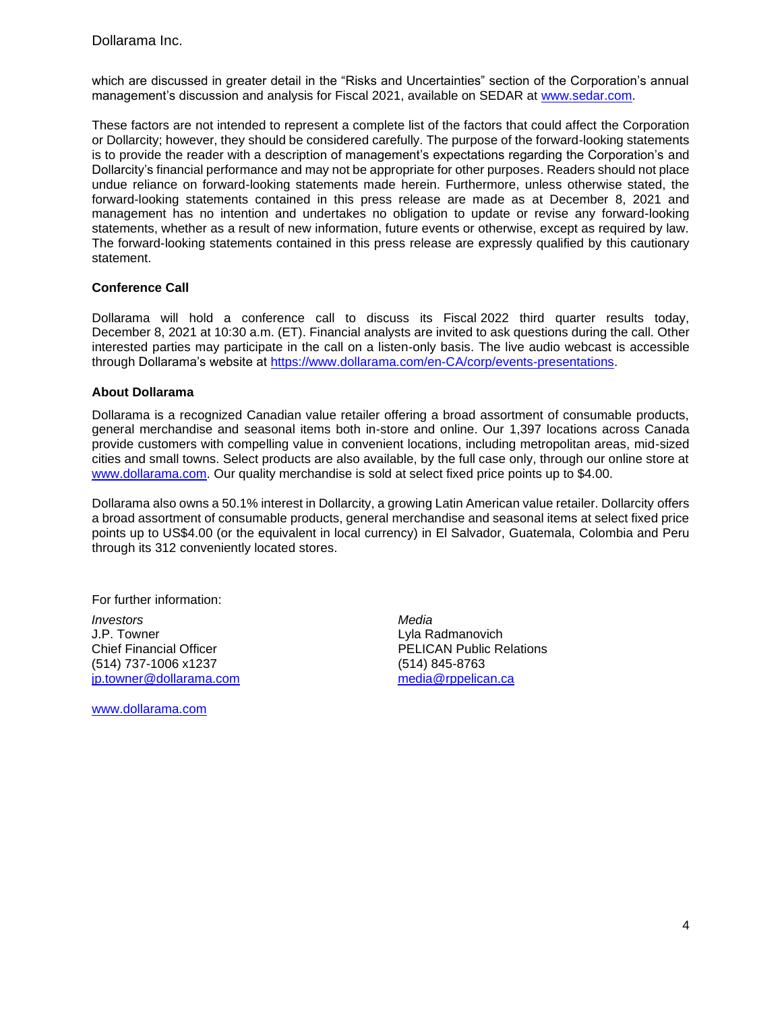which are discussed in greater detail in the "Risks and Uncertainties" section of the Corporation's annual management's discussion and analysis for Fiscal 2021, available on SEDAR at [www.sedar.com.](http://www.sedar.com/DisplayCompanyDocuments.do?lang=EN&issuerNo=00028876)

These factors are not intended to represent a complete list of the factors that could affect the Corporation or Dollarcity; however, they should be considered carefully. The purpose of the forward-looking statements is to provide the reader with a description of management's expectations regarding the Corporation's and Dollarcity's financial performance and may not be appropriate for other purposes. Readers should not place undue reliance on forward-looking statements made herein. Furthermore, unless otherwise stated, the forward-looking statements contained in this press release are made as at December 8, 2021 and management has no intention and undertakes no obligation to update or revise any forward-looking statements, whether as a result of new information, future events or otherwise, except as required by law. The forward-looking statements contained in this press release are expressly qualified by this cautionary statement.

#### **Conference Call**

Dollarama will hold a conference call to discuss its Fiscal 2022 third quarter results today, December 8, 2021 at 10:30 a.m. (ET). Financial analysts are invited to ask questions during the call. Other interested parties may participate in the call on a listen-only basis. The live audio webcast is accessible through Dollarama's website at [https://www.dollarama.com/en-CA/corp/events-presentations.](https://www.dollarama.com/en-CA/corp/events-presentations)

#### **About Dollarama**

Dollarama is a recognized Canadian value retailer offering a broad assortment of consumable products, general merchandise and seasonal items both in-store and online. Our 1,397 locations across Canada provide customers with compelling value in convenient locations, including metropolitan areas, mid-sized cities and small towns. Select products are also available, by the full case only, through our online store at [www.dollarama.com.](http://www.dollarama.com/) Our quality merchandise is sold at select fixed price points up to \$4.00.

Dollarama also owns a 50.1% interest in Dollarcity, a growing Latin American value retailer. Dollarcity offers a broad assortment of consumable products, general merchandise and seasonal items at select fixed price points up to US\$4.00 (or the equivalent in local currency) in El Salvador, Guatemala, Colombia and Peru through its 312 conveniently located stores.

For further information:

*Investors Media* J.P. Towner Chief Financial Officer (514) 737-1006 x1237 [jp.towner@dollarama.com](mailto:jp.towner@dollarama.com)

[www.dollarama.com](http://www.dollarama.com/)

Lyla Radmanovich PELICAN Public Relations (514) 845-8763 [media@rppelican.ca](mailto:media@rppelican.ca)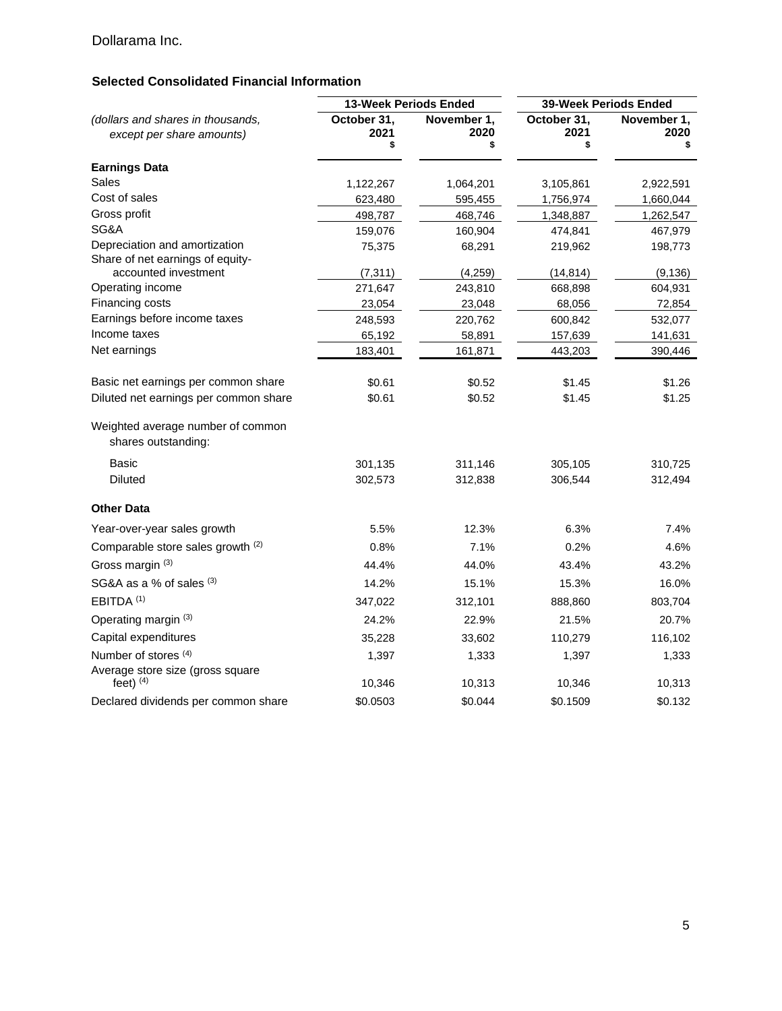# **Selected Consolidated Financial Information**

|                                                                | 13-Week Periods Ended     |                           | 39-Week Periods Ended     |                     |
|----------------------------------------------------------------|---------------------------|---------------------------|---------------------------|---------------------|
| (dollars and shares in thousands,<br>except per share amounts) | October 31,<br>2021<br>\$ | November 1,<br>2020<br>\$ | October 31.<br>2021<br>\$ | November 1,<br>2020 |
| <b>Earnings Data</b>                                           |                           |                           |                           |                     |
| Sales                                                          | 1,122,267                 | 1,064,201                 | 3,105,861                 | 2,922,591           |
| Cost of sales                                                  | 623,480                   | 595,455                   | 1,756,974                 | 1,660,044           |
| Gross profit                                                   | 498,787                   | 468,746                   | 1,348,887                 | 1,262,547           |
| SG&A                                                           | 159,076                   | 160,904                   | 474,841                   | 467,979             |
| Depreciation and amortization                                  | 75,375                    | 68,291                    | 219,962                   | 198,773             |
| Share of net earnings of equity-<br>accounted investment       | (7, 311)                  | (4,259)                   | (14, 814)                 | (9, 136)            |
| Operating income                                               | 271,647                   | 243,810                   | 668,898                   | 604,931             |
| Financing costs                                                | 23,054                    | 23,048                    | 68,056                    | 72,854              |
| Earnings before income taxes                                   | 248,593                   | 220,762                   | 600,842                   | 532,077             |
| Income taxes                                                   | 65,192                    | 58,891                    | 157,639                   | 141,631             |
| Net earnings                                                   | 183,401                   | 161,871                   | 443,203                   | 390,446             |
| Basic net earnings per common share                            | \$0.61                    | \$0.52                    | \$1.45                    | \$1.26              |
| Diluted net earnings per common share                          | \$0.61                    | \$0.52                    | \$1.45                    | \$1.25              |
| Weighted average number of common<br>shares outstanding:       |                           |                           |                           |                     |
| <b>Basic</b>                                                   | 301,135                   | 311,146                   | 305,105                   | 310,725             |
| <b>Diluted</b>                                                 | 302,573                   | 312,838                   | 306,544                   | 312,494             |
| <b>Other Data</b>                                              |                           |                           |                           |                     |
| Year-over-year sales growth                                    | 5.5%                      | 12.3%                     | 6.3%                      | 7.4%                |
| Comparable store sales growth (2)                              | 0.8%                      | 7.1%                      | 0.2%                      | 4.6%                |
| Gross margin (3)                                               | 44.4%                     | 44.0%                     | 43.4%                     | 43.2%               |
| SG&A as a % of sales (3)                                       | 14.2%                     | 15.1%                     | 15.3%                     | 16.0%               |
| EBITDA <sup>(1)</sup>                                          | 347,022                   | 312,101                   | 888,860                   | 803,704             |
| Operating margin (3)                                           | 24.2%                     | 22.9%                     | 21.5%                     | 20.7%               |
| Capital expenditures                                           | 35,228                    | 33,602                    | 110,279                   | 116,102             |
| Number of stores <sup>(4)</sup>                                | 1,397                     | 1,333                     | 1,397                     | 1,333               |
| Average store size (gross square                               |                           |                           |                           |                     |
| feet) $(4)$                                                    | 10,346                    | 10,313                    | 10,346                    | 10,313              |
| Declared dividends per common share                            | \$0.0503                  | \$0.044                   | \$0.1509                  | \$0.132             |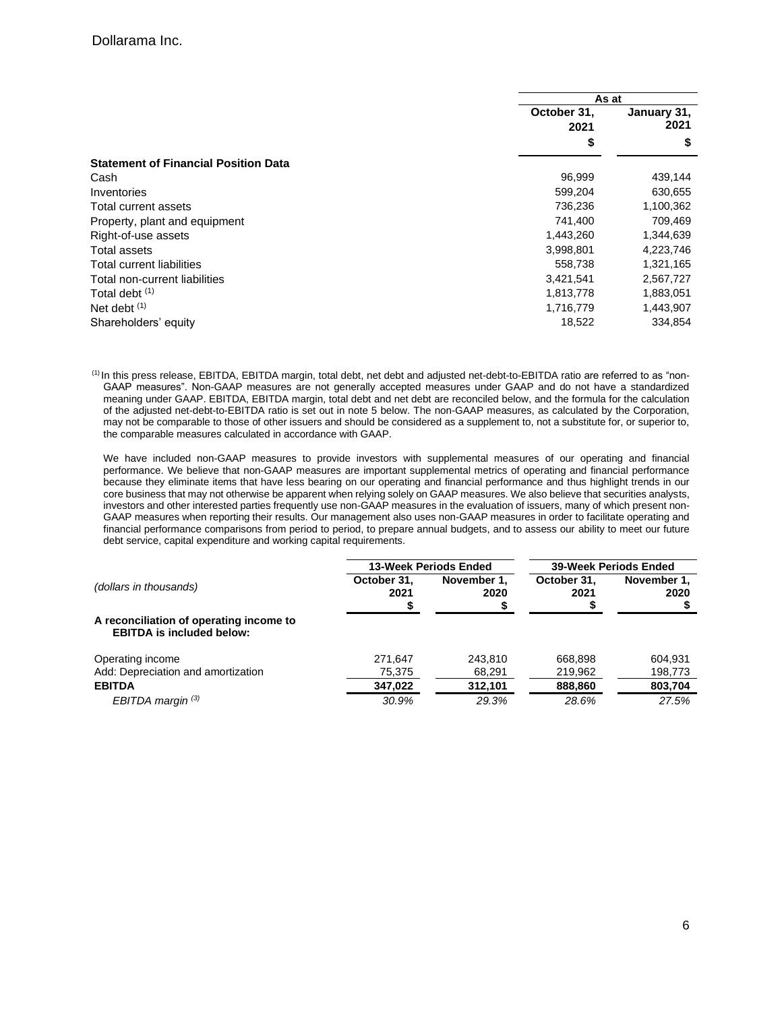|                                             | As at               |                     |
|---------------------------------------------|---------------------|---------------------|
|                                             | October 31,<br>2021 | January 31,<br>2021 |
|                                             | \$                  | \$                  |
| <b>Statement of Financial Position Data</b> |                     |                     |
| Cash                                        | 96,999              | 439,144             |
| Inventories                                 | 599,204             | 630,655             |
| Total current assets                        | 736,236             | 1,100,362           |
| Property, plant and equipment               | 741,400             | 709,469             |
| Right-of-use assets                         | 1,443,260           | 1,344,639           |
| Total assets                                | 3,998,801           | 4,223,746           |
| Total current liabilities                   | 558,738             | 1,321,165           |
| Total non-current liabilities               | 3,421,541           | 2,567,727           |
| Total debt (1)                              | 1,813,778           | 1,883,051           |
| Net debt $(1)$                              | 1,716,779           | 1,443,907           |
| Shareholders' equity                        | 18,522              | 334.854             |

(1) In this press release, EBITDA, EBITDA margin, total debt, net debt and adjusted net-debt-to-EBITDA ratio are referred to as "non-GAAP measures". Non-GAAP measures are not generally accepted measures under GAAP and do not have a standardized meaning under GAAP. EBITDA, EBITDA margin, total debt and net debt are reconciled below, and the formula for the calculation of the adjusted net-debt-to-EBITDA ratio is set out in note 5 below. The non-GAAP measures, as calculated by the Corporation, may not be comparable to those of other issuers and should be considered as a supplement to, not a substitute for, or superior to, the comparable measures calculated in accordance with GAAP.

We have included non-GAAP measures to provide investors with supplemental measures of our operating and financial performance. We believe that non-GAAP measures are important supplemental metrics of operating and financial performance because they eliminate items that have less bearing on our operating and financial performance and thus highlight trends in our core business that may not otherwise be apparent when relying solely on GAAP measures. We also believe that securities analysts, investors and other interested parties frequently use non-GAAP measures in the evaluation of issuers, many of which present non-GAAP measures when reporting their results. Our management also uses non-GAAP measures in order to facilitate operating and financial performance comparisons from period to period, to prepare annual budgets, and to assess our ability to meet our future debt service, capital expenditure and working capital requirements.

|                                                                             | 13-Week Periods Ended |                     | <b>39-Week Periods Ended</b> |                     |
|-----------------------------------------------------------------------------|-----------------------|---------------------|------------------------------|---------------------|
| (dollars in thousands)                                                      | October 31.<br>2021   | November 1.<br>2020 | October 31.<br>2021          | November 1.<br>2020 |
| A reconciliation of operating income to<br><b>EBITDA</b> is included below: |                       |                     |                              |                     |
| Operating income                                                            | 271.647               | 243.810             | 668.898                      | 604.931             |
| Add: Depreciation and amortization                                          | 75,375                | 68.291              | 219.962                      | 198,773             |
| <b>EBITDA</b>                                                               | 347,022               | 312,101             | 888,860                      | 803,704             |
| EBITDA margin $(3)$                                                         | 30.9%                 | 29.3%               | 28.6%                        | 27.5%               |